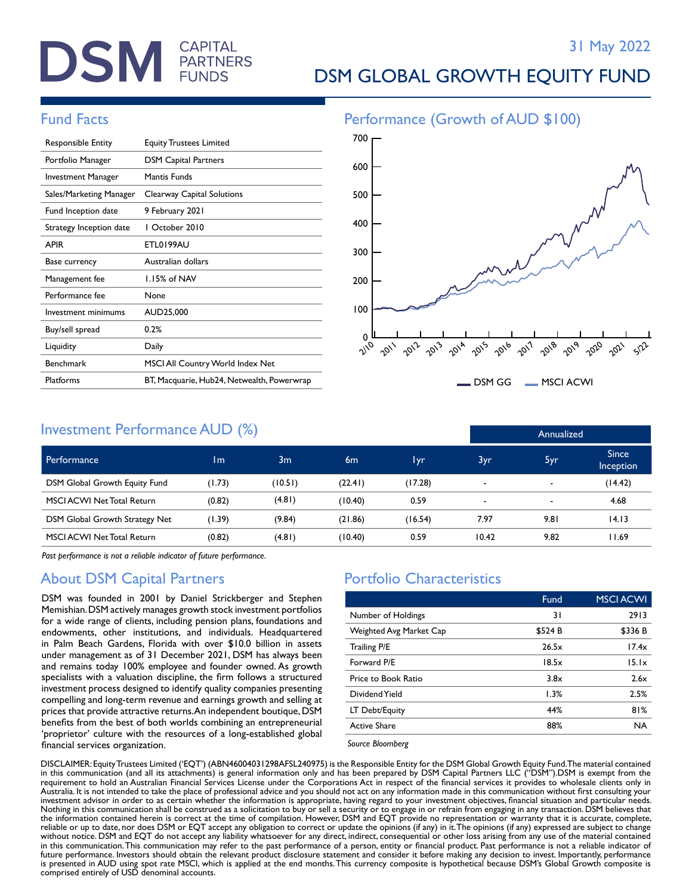# **DSM** FARTNERS

# DSM GLOBAL GROWTH EQUITY FUND

| <b>Responsible Entity</b> | <b>Equity Trustees Limited</b>             |
|---------------------------|--------------------------------------------|
| Portfolio Manager         | <b>DSM Capital Partners</b>                |
| Investment Manager        | Mantis Funds                               |
| Sales/Marketing Manager   | Clearway Capital Solutions                 |
| Fund Inception date       | 9 February 2021                            |
| Strategy Inception date   | L October 2010                             |
| <b>APIR</b>               | ETL0199AU                                  |
| Base currency             | Australian dollars                         |
| Management fee            | 1.15% of NAV                               |
| Performance fee           | None                                       |
| Investment minimums       | AUD25,000                                  |
| Buy/sell spread           | 0.2%                                       |
| Liquidity                 | Daily                                      |
| <b>Benchmark</b>          | MSCI All Country World Index Net           |
| Platforms                 | BT, Macquarie, Hub24, Netwealth, Powerwrap |

# Fund Facts **Performance** (Growth of AUD \$100) 600 700



DSM GG MSCI ACWI

Annualized

## Investment Performance AUD (%)

| Performance                       | 1 <sub>m</sub> | 3 <sub>m</sub> | 6 <sub>m</sub> | 1yr     | 3yr                      | 5yr                      | <b>Since</b><br><b>Inception</b> |
|-----------------------------------|----------------|----------------|----------------|---------|--------------------------|--------------------------|----------------------------------|
| DSM Global Growth Equity Fund     | (1.73)         | (10.51)        | (22.41)        | (17.28) | $\overline{\phantom{0}}$ | $\blacksquare$           | (14.42)                          |
| <b>MSCI ACWI Net Total Return</b> | (0.82)         | (4.81)         | (10.40)        | 0.59    | $\overline{\phantom{a}}$ | $\overline{\phantom{0}}$ | 4.68                             |
| DSM Global Growth Strategy Net    | (1.39)         | (9.84)         | (21.86)        | (16.54) | 7.97                     | 9.81                     | 14.13                            |
| <b>MSCI ACWI Net Total Return</b> | (0.82)         | (4.81)         | (10.40)        | 0.59    | 10.42                    | 9.82                     | 11.69                            |

*Past performance is not a reliable indicator of future performance.*

## About DSM Capital Partners

DSM was founded in 2001 by Daniel Strickberger and Stephen Memishian. DSM actively manages growth stock investment portfolios for a wide range of clients, including pension plans, foundations and endowments, other institutions, and individuals. Headquartered in Palm Beach Gardens, Florida with over \$10.0 billion in assets under management as of 31 December 2021, DSM has always been and remains today 100% employee and founder owned. As growth specialists with a valuation discipline, the firm follows a structured investment process designed to identify quality companies presenting compelling and long-term revenue and earnings growth and selling at prices that provide attractive returns. An independent boutique, DSM benefits from the best of both worlds combining an entrepreneurial 'proprietor' culture with the resources of a long-established global financial services organization.

## Portfolio Characteristics

|                         | Fund    | <b>MSCI ACWI</b> |
|-------------------------|---------|------------------|
| Number of Holdings      | 31      | 2913             |
| Weighted Avg Market Cap | \$524 B | \$336 B          |
| Trailing P/E            | 26.5x   | 17.4x            |
| Forward P/E             | 18.5x   | 15.1x            |
| Price to Book Ratio     | 3.8x    | 2.6x             |
| Dividend Yield          | 1.3%    | 2.5%             |
| LT Debt/Equity          | 44%     | 81%              |
| <b>Active Share</b>     | 88%     | <b>NA</b>        |
|                         |         |                  |

*Source Bloomberg*

DISCLAIMER: Equity Trustees Limited ('EQT') (ABN46004031298AFSL240975) is the Responsible Entity for the DSM Global Growth Equity Fund. The material contained in this communication (and all its attachments) is general information only and has been prepared by DSM Capital Partners LLC ("DSM").DSM is exempt from the requirement to hold an Australian Financial Services License under the Corporations Act in respect of the financial services it provides to wholesale clients only in Australia. It is not intended to take the place of professional advice and you should not act on any information made in this communication without first consulting your investment advisor in order to as certain whether the information is appropriate, having regard to your investment objectives, financial situation and particular needs. Nothing in this communication shall be construed as a solicitation to buy or sell a security or to engage in or refrain from engaging in any transaction. DSM believes that the information contained herein is correct at the time of compilation. However, DSM and EQT provide no representation or warranty that it is accurate, complete, reliable or up to date, nor does DSM or EQT accept any obligation to correct or update the opinions (if any) in it. The opinions (if any) expressed are subject to change without notice. DSM and EQT do not accept any liability whatsoever for any direct, indirect, consequential or other loss arising from any use of the material contained in this communication. This communication may refer to the past performance of a person, entity or financial product. Past performance is not a reliable indicator of future performance. Investors should obtain the relevant product disclosure statement and consider it before making any decision to invest. Importantly, performance<br>is presented in AUD using spot rate MSCI, which is applie comprised entirely of USD denominal accounts.